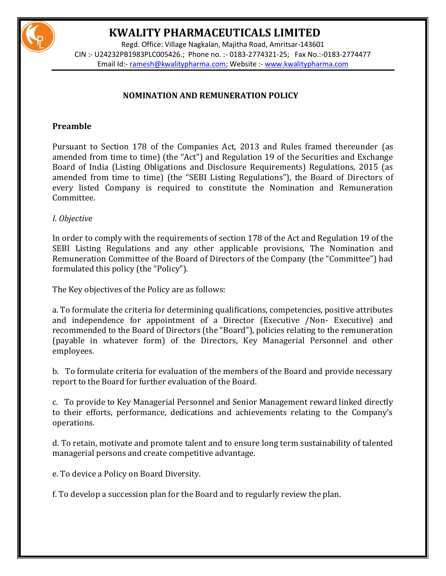

Regd. Office: Village Nagkalan, Majitha Road, Amritsar-143601 CIN :- U24232PB1983PLC005426.; Phone no. :- 0183-2774321-25; Fax No.:-0183-2774477 Email Id:- [ramesh@kwalitypharma.com;](mailto:ramesh@kwalitypharma.com) Website :- [www.kwalitypharma.com](http://www.kwalitypharma.com/)

### **NOMINATION AND REMUNERATION POLICY**

### **Preamble**

Pursuant to Section 178 of the Companies Act, 2013 and Rules framed thereunder (as amended from time to time) (the "Act") and Regulation 19 of the Securities and Exchange Board of India (Listing Obligations and Disclosure Requirements) Regulations, 2015 (as amended from time to time) (the "SEBI Listing Regulations"), the Board of Directors of every listed Company is required to constitute the Nomination and Remuneration Committee.

### *I. Objective*

In order to comply with the requirements of section 178 of the Act and Regulation 19 of the SEBI Listing Regulations and any other applicable provisions, The Nomination and Remuneration Committee of the Board of Directors of the Company (the "Committee") had formulated this policy (the "Policy").

The Key objectives of the Policy are as follows:

a. To formulate the criteria for determining qualifications, competencies, positive attributes and independence for appointment of a Director (Executive /Non- Executive) and recommended to the Board of Directors (the "Board"), policies relating to the remuneration (payable in whatever form) of the Directors, Key Managerial Personnel and other employees.

b. To formulate criteria for evaluation of the members of the Board and provide necessary report to the Board for further evaluation of the Board.

c. To provide to Key Managerial Personnel and Senior Management reward linked directly to their efforts, performance, dedications and achievements relating to the Company's operations.

d. To retain, motivate and promote talent and to ensure long term sustainability of talented managerial persons and create competitive advantage.

e. To device a Policy on Board Diversity.

f. To develop a succession plan for the Board and to regularly review the plan.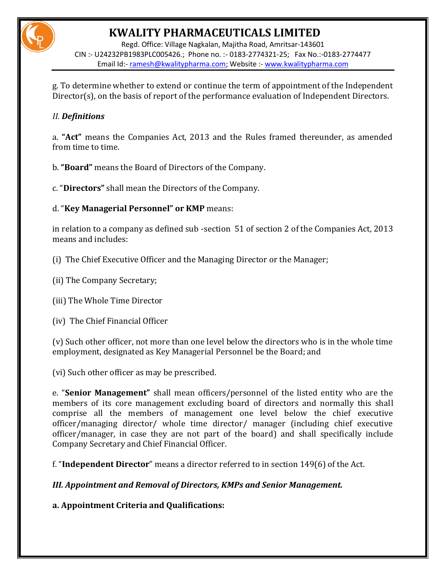Regd. Office: Village Nagkalan, Majitha Road, Amritsar-143601 CIN :- U24232PB1983PLC005426.; Phone no. :- 0183-2774321-25; Fax No.:-0183-2774477 Email Id:- [ramesh@kwalitypharma.com;](mailto:ramesh@kwalitypharma.com) Website :- [www.kwalitypharma.com](http://www.kwalitypharma.com/)

g. To determine whether to extend or continue the term of appointment of the Independent Director(s), on the basis of report of the performance evaluation of Independent Directors.

### *II. Definitions*

a. **"Act"** means the Companies Act, 2013 and the Rules framed thereunder, as amended from time to time.

b. **"Board"** means the Board of Directors of the Company.

c. "**Directors"** shall mean the Directors of the Company.

d. "**Key Managerial Personnel" or KMP** means:

in relation to a company as defined sub -section 51 of section 2 of the Companies Act, 2013 means and includes:

(i) The Chief Executive Officer and the Managing Director or the Manager;

(ii) The Company Secretary;

(iii) The Whole Time Director

(iv) The Chief Financial Officer

(v) Such other officer, not more than one level below the directors who is in the whole time employment, designated as Key Managerial Personnel be the Board; and

(vi) Such other officer as may be prescribed.

e. "**Senior Management"** shall mean officers/personnel of the listed entity who are the members of its core management excluding board of directors and normally this shall comprise all the members of management one level below the chief executive officer/managing director/ whole time director/ manager (including chief executive officer/manager, in case they are not part of the board) and shall specifically include Company Secretary and Chief Financial Officer.

f. "**Independent Director**" means a director referred to in section 149(6) of the Act.

*III. Appointment and Removal of Directors, KMPs and Senior Management.*

**a. Appointment Criteria and Qualifications:**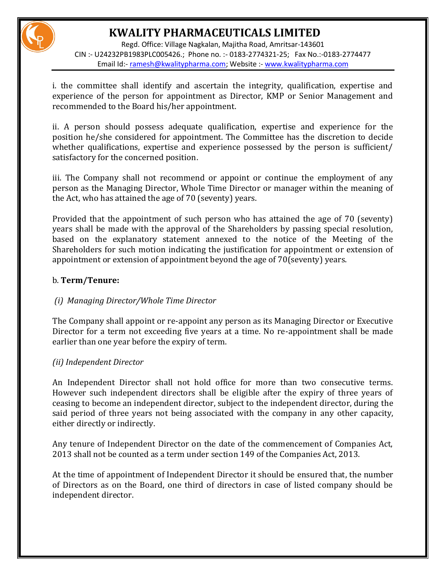Regd. Office: Village Nagkalan, Majitha Road, Amritsar-143601 CIN :- U24232PB1983PLC005426.; Phone no. :- 0183-2774321-25; Fax No.:-0183-2774477 Email Id:- [ramesh@kwalitypharma.com;](mailto:ramesh@kwalitypharma.com) Website :- [www.kwalitypharma.com](http://www.kwalitypharma.com/)

i. the committee shall identify and ascertain the integrity, qualification, expertise and experience of the person for appointment as Director, KMP or Senior Management and recommended to the Board his/her appointment.

ii. A person should possess adequate qualification, expertise and experience for the position he/she considered for appointment. The Committee has the discretion to decide whether qualifications, expertise and experience possessed by the person is sufficient/ satisfactory for the concerned position.

iii. The Company shall not recommend or appoint or continue the employment of any person as the Managing Director, Whole Time Director or manager within the meaning of the Act, who has attained the age of 70 (seventy) years.

Provided that the appointment of such person who has attained the age of 70 (seventy) years shall be made with the approval of the Shareholders by passing special resolution, based on the explanatory statement annexed to the notice of the Meeting of the Shareholders for such motion indicating the justification for appointment or extension of appointment or extension of appointment beyond the age of 70(seventy) years.

### b. **Term/Tenure:**

### *(i) Managing Director/Whole Time Director*

The Company shall appoint or re-appoint any person as its Managing Director or Executive Director for a term not exceeding five years at a time. No re-appointment shall be made earlier than one year before the expiry of term.

### *(ii) Independent Director*

An Independent Director shall not hold office for more than two consecutive terms. However such independent directors shall be eligible after the expiry of three years of ceasing to become an independent director, subject to the independent director, during the said period of three years not being associated with the company in any other capacity, either directly or indirectly.

Any tenure of Independent Director on the date of the commencement of Companies Act, 2013 shall not be counted as a term under section 149 of the Companies Act, 2013.

At the time of appointment of Independent Director it should be ensured that, the number of Directors as on the Board, one third of directors in case of listed company should be independent director.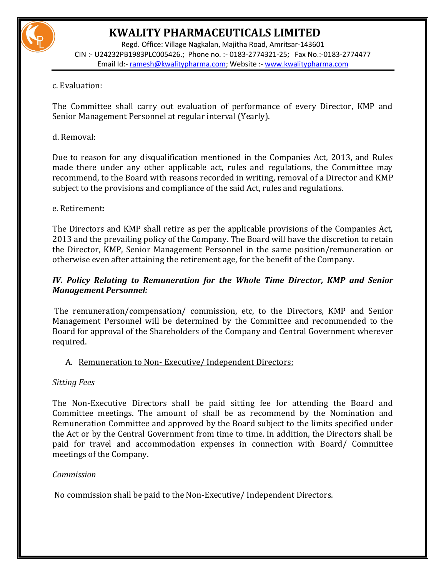

Regd. Office: Village Nagkalan, Majitha Road, Amritsar-143601 CIN :- U24232PB1983PLC005426.; Phone no. :- 0183-2774321-25; Fax No.:-0183-2774477 Email Id:- [ramesh@kwalitypharma.com;](mailto:ramesh@kwalitypharma.com) Website :- [www.kwalitypharma.com](http://www.kwalitypharma.com/)

### c. Evaluation:

The Committee shall carry out evaluation of performance of every Director, KMP and Senior Management Personnel at regular interval (Yearly).

### d. Removal:

Due to reason for any disqualification mentioned in the Companies Act, 2013, and Rules made there under any other applicable act, rules and regulations, the Committee may recommend, to the Board with reasons recorded in writing, removal of a Director and KMP subject to the provisions and compliance of the said Act, rules and regulations.

### e. Retirement:

The Directors and KMP shall retire as per the applicable provisions of the Companies Act, 2013 and the prevailing policy of the Company. The Board will have the discretion to retain the Director, KMP, Senior Management Personnel in the same position/remuneration or otherwise even after attaining the retirement age, for the benefit of the Company.

### *IV. Policy Relating to Remuneration for the Whole Time Director, KMP and Senior Management Personnel:*

The remuneration/compensation/ commission, etc, to the Directors, KMP and Senior Management Personnel will be determined by the Committee and recommended to the Board for approval of the Shareholders of the Company and Central Government wherever required.

### A. Remuneration to Non- Executive/ Independent Directors:

### *Sitting Fees*

The Non-Executive Directors shall be paid sitting fee for attending the Board and Committee meetings. The amount of shall be as recommend by the Nomination and Remuneration Committee and approved by the Board subject to the limits specified under the Act or by the Central Government from time to time. In addition, the Directors shall be paid for travel and accommodation expenses in connection with Board/ Committee meetings of the Company.

### *Commission*

No commission shall be paid to the Non-Executive/ Independent Directors.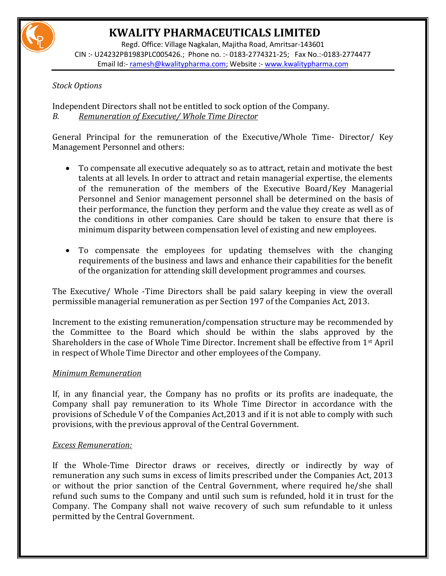

Regd. Office: Village Nagkalan, Majitha Road, Amritsar-143601 CIN :- U24232PB1983PLC005426.; Phone no. :- 0183-2774321-25; Fax No.:-0183-2774477 Email Id:- [ramesh@kwalitypharma.com;](mailto:ramesh@kwalitypharma.com) Website :- [www.kwalitypharma.com](http://www.kwalitypharma.com/)

### *Stock Options*

Independent Directors shall not be entitled to sock option of the Company. *B. Remuneration of Executive/ Whole Time Director*

General Principal for the remuneration of the Executive/Whole Time- Director/ Key Management Personnel and others:

- To compensate all executive adequately so as to attract, retain and motivate the best talents at all levels. In order to attract and retain managerial expertise, the elements of the remuneration of the members of the Executive Board/Key Managerial Personnel and Senior management personnel shall be determined on the basis of their performance, the function they perform and the value they create as well as of the conditions in other companies. Care should be taken to ensure that there is minimum disparity between compensation level of existing and new employees.
- To compensate the employees for updating themselves with the changing requirements of the business and laws and enhance their capabilities for the benefit of the organization for attending skill development programmes and courses.

The Executive/ Whole -Time Directors shall be paid salary keeping in view the overall permissible managerial remuneration as per Section 197 of the Companies Act, 2013.

Increment to the existing remuneration/compensation structure may be recommended by the Committee to the Board which should be within the slabs approved by the Shareholders in the case of Whole Time Director. Increment shall be effective from 1st April in respect of Whole Time Director and other employees of the Company.

### *Minimum Remuneration*

If, in any financial year, the Company has no profits or its profits are inadequate, the Company shall pay remuneration to its Whole Time Director in accordance with the provisions of Schedule V of the Companies Act,2013 and if it is not able to comply with such provisions, with the previous approval of the Central Government.

### *Excess Remuneration:*

If the Whole-Time Director draws or receives, directly or indirectly by way of remuneration any such sums in excess of limits prescribed under the Companies Act, 2013 or without the prior sanction of the Central Government, where required he/she shall refund such sums to the Company and until such sum is refunded, hold it in trust for the Company. The Company shall not waive recovery of such sum refundable to it unless permitted by the Central Government.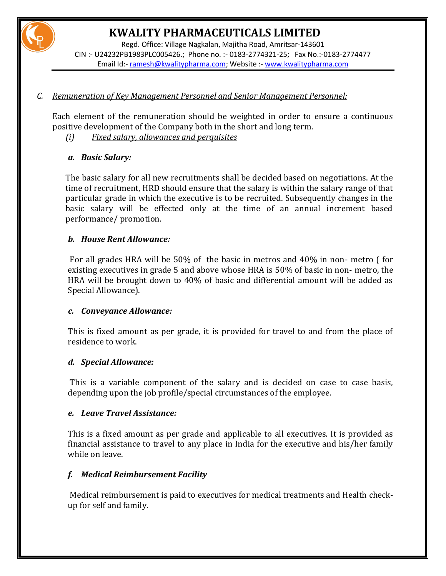Regd. Office: Village Nagkalan, Majitha Road, Amritsar-143601 CIN :- U24232PB1983PLC005426.; Phone no. :- 0183-2774321-25; Fax No.:-0183-2774477 Email Id:- [ramesh@kwalitypharma.com;](mailto:ramesh@kwalitypharma.com) Website :- [www.kwalitypharma.com](http://www.kwalitypharma.com/)

### *C. Remuneration of Key Management Personnel and Senior Management Personnel:*

Each element of the remuneration should be weighted in order to ensure a continuous positive development of the Company both in the short and long term.

*(i) Fixed salary, allowances and perquisites*

### *a. Basic Salary:*

The basic salary for all new recruitments shall be decided based on negotiations. At the time of recruitment, HRD should ensure that the salary is within the salary range of that particular grade in which the executive is to be recruited. Subsequently changes in the basic salary will be effected only at the time of an annual increment based performance/ promotion.

### *b. House Rent Allowance:*

For all grades HRA will be 50% of the basic in metros and 40% in non- metro ( for existing executives in grade 5 and above whose HRA is 50% of basic in non- metro, the HRA will be brought down to 40% of basic and differential amount will be added as Special Allowance).

### *c. Conveyance Allowance:*

This is fixed amount as per grade, it is provided for travel to and from the place of residence to work.

### *d. Special Allowance:*

This is a variable component of the salary and is decided on case to case basis, depending upon the job profile/special circumstances of the employee.

### *e. Leave Travel Assistance:*

This is a fixed amount as per grade and applicable to all executives. It is provided as financial assistance to travel to any place in India for the executive and his/her family while on leave.

### *f. Medical Reimbursement Facility*

Medical reimbursement is paid to executives for medical treatments and Health checkup for self and family.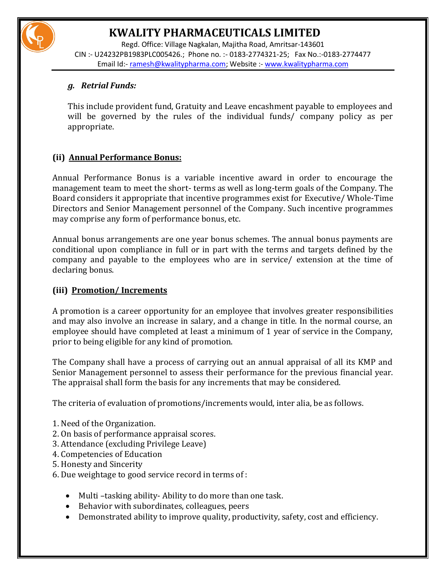Regd. Office: Village Nagkalan, Majitha Road, Amritsar-143601 CIN :- U24232PB1983PLC005426.; Phone no. :- 0183-2774321-25; Fax No.:-0183-2774477 Email Id:- [ramesh@kwalitypharma.com;](mailto:ramesh@kwalitypharma.com) Website :- [www.kwalitypharma.com](http://www.kwalitypharma.com/)

### *g. Retrial Funds:*

This include provident fund, Gratuity and Leave encashment payable to employees and will be governed by the rules of the individual funds/ company policy as per appropriate.

### **(ii) Annual Performance Bonus:**

Annual Performance Bonus is a variable incentive award in order to encourage the management team to meet the short- terms as well as long-term goals of the Company. The Board considers it appropriate that incentive programmes exist for Executive/ Whole-Time Directors and Senior Management personnel of the Company. Such incentive programmes may comprise any form of performance bonus, etc.

Annual bonus arrangements are one year bonus schemes. The annual bonus payments are conditional upon compliance in full or in part with the terms and targets defined by the company and payable to the employees who are in service/ extension at the time of declaring bonus.

### **(iii) Promotion/ Increments**

A promotion is a career opportunity for an employee that involves greater responsibilities and may also involve an increase in salary, and a change in title. In the normal course, an employee should have completed at least a minimum of 1 year of service in the Company, prior to being eligible for any kind of promotion.

The Company shall have a process of carrying out an annual appraisal of all its KMP and Senior Management personnel to assess their performance for the previous financial year. The appraisal shall form the basis for any increments that may be considered.

The criteria of evaluation of promotions/increments would, inter alia, be as follows.

- 1. Need of the Organization.
- 2. On basis of performance appraisal scores.
- 3. Attendance (excluding Privilege Leave)
- 4. Competencies of Education
- 5. Honesty and Sincerity
- 6. Due weightage to good service record in terms of :
	- Multi –tasking ability- Ability to do more than one task.
	- Behavior with subordinates, colleagues, peers
	- Demonstrated ability to improve quality, productivity, safety, cost and efficiency.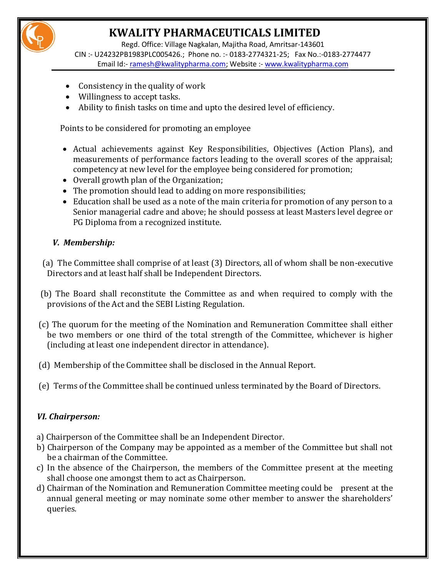Regd. Office: Village Nagkalan, Majitha Road, Amritsar-143601 CIN :- U24232PB1983PLC005426.; Phone no. :- 0183-2774321-25; Fax No.:-0183-2774477 Email Id:- [ramesh@kwalitypharma.com;](mailto:ramesh@kwalitypharma.com) Website :- [www.kwalitypharma.com](http://www.kwalitypharma.com/)

- Consistency in the quality of work
- Willingness to accept tasks.
- Ability to finish tasks on time and upto the desired level of efficiency.

Points to be considered for promoting an employee

- Actual achievements against Key Responsibilities, Objectives (Action Plans), and measurements of performance factors leading to the overall scores of the appraisal; competency at new level for the employee being considered for promotion;
- Overall growth plan of the Organization;
- The promotion should lead to adding on more responsibilities;
- Education shall be used as a note of the main criteria for promotion of any person to a Senior managerial cadre and above; he should possess at least Masters level degree or PG Diploma from a recognized institute.

### *V. Membership:*

- (a) The Committee shall comprise of at least (3) Directors, all of whom shall be non-executive Directors and at least half shall be Independent Directors.
- (b) The Board shall reconstitute the Committee as and when required to comply with the provisions of the Act and the SEBI Listing Regulation.
- (c) The quorum for the meeting of the Nomination and Remuneration Committee shall either be two members or one third of the total strength of the Committee, whichever is higher (including at least one independent director in attendance).
- (d) Membership of the Committee shall be disclosed in the Annual Report.
- (e) Terms of the Committee shall be continued unless terminated by the Board of Directors.

### *VI. Chairperson:*

- a) Chairperson of the Committee shall be an Independent Director.
- b) Chairperson of the Company may be appointed as a member of the Committee but shall not be a chairman of the Committee.
- c) In the absence of the Chairperson, the members of the Committee present at the meeting shall choose one amongst them to act as Chairperson.
- d) Chairman of the Nomination and Remuneration Committee meeting could be present at the annual general meeting or may nominate some other member to answer the shareholders' queries.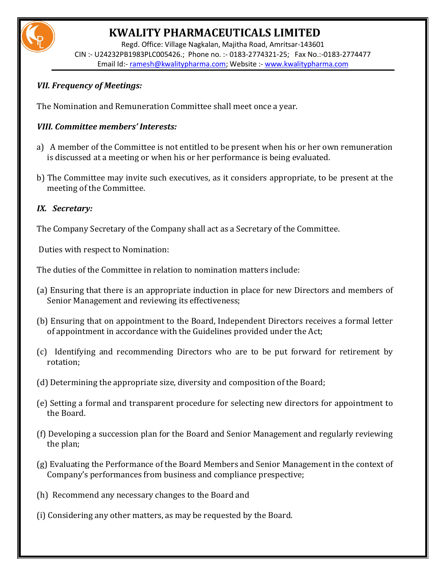

Regd. Office: Village Nagkalan, Majitha Road, Amritsar-143601 CIN :- U24232PB1983PLC005426.; Phone no. :- 0183-2774321-25; Fax No.:-0183-2774477 Email Id:- [ramesh@kwalitypharma.com;](mailto:ramesh@kwalitypharma.com) Website :- [www.kwalitypharma.com](http://www.kwalitypharma.com/)

### *VII. Frequency of Meetings:*

The Nomination and Remuneration Committee shall meet once a year.

### *VIII. Committee members' Interests:*

- a) A member of the Committee is not entitled to be present when his or her own remuneration is discussed at a meeting or when his or her performance is being evaluated.
- b) The Committee may invite such executives, as it considers appropriate, to be present at the meeting of the Committee.

### *IX. Secretary:*

The Company Secretary of the Company shall act as a Secretary of the Committee.

Duties with respect to Nomination:

The duties of the Committee in relation to nomination matters include:

- (a) Ensuring that there is an appropriate induction in place for new Directors and members of Senior Management and reviewing its effectiveness;
- (b) Ensuring that on appointment to the Board, Independent Directors receives a formal letter of appointment in accordance with the Guidelines provided under the Act;
- (c) Identifying and recommending Directors who are to be put forward for retirement by rotation;
- (d) Determining the appropriate size, diversity and composition of the Board;
- (e) Setting a formal and transparent procedure for selecting new directors for appointment to the Board.
- (f) Developing a succession plan for the Board and Senior Management and regularly reviewing the plan;
- (g) Evaluating the Performance of the Board Members and Senior Management in the context of Company's performances from business and compliance prespective;
- (h) Recommend any necessary changes to the Board and
- (i) Considering any other matters, as may be requested by the Board.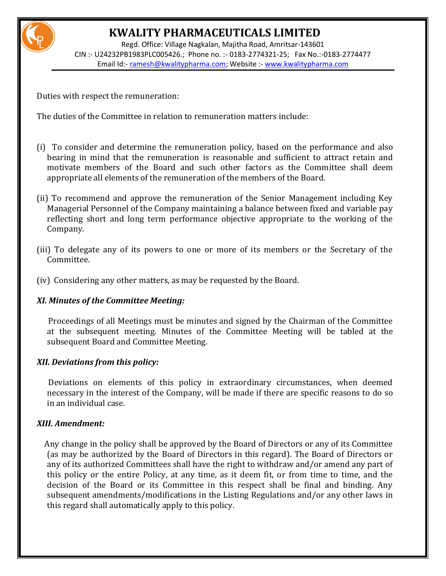Regd. Office: Village Nagkalan, Majitha Road, Amritsar-143601 CIN :- U24232PB1983PLC005426.; Phone no. :- 0183-2774321-25; Fax No.:-0183-2774477 Email Id:- [ramesh@kwalitypharma.com;](mailto:ramesh@kwalitypharma.com) Website :- [www.kwalitypharma.com](http://www.kwalitypharma.com/)

Duties with respect the remuneration:

The duties of the Committee in relation to remuneration matters include:

- (i) To consider and determine the remuneration policy, based on the performance and also bearing in mind that the remuneration is reasonable and sufficient to attract retain and motivate members of the Board and such other factors as the Committee shall deem appropriate all elements of the remuneration of the members of the Board.
- (ii) To recommend and approve the remuneration of the Senior Management including Key Managerial Personnel of the Company maintaining a balance between fixed and variable pay reflecting short and long term performance objective appropriate to the working of the Company.
- (iii) To delegate any of its powers to one or more of its members or the Secretary of the Committee.
- (iv) Considering any other matters, as may be requested by the Board.

### *XI. Minutes of the Committee Meeting:*

 Proceedings of all Meetings must be minutes and signed by the Chairman of the Committee at the subsequent meeting. Minutes of the Committee Meeting will be tabled at the subsequent Board and Committee Meeting.

### *XII. Deviations from this policy:*

 Deviations on elements of this policy in extraordinary circumstances, when deemed necessary in the interest of the Company, will be made if there are specific reasons to do so in an individual case.

### *XIII. Amendment:*

 Any change in the policy shall be approved by the Board of Directors or any of its Committee (as may be authorized by the Board of Directors in this regard). The Board of Directors or any of its authorized Committees shall have the right to withdraw and/or amend any part of this policy or the entire Policy, at any time, as it deem fit, or from time to time, and the decision of the Board or its Committee in this respect shall be final and binding. Any subsequent amendments/modifications in the Listing Regulations and/or any other laws in this regard shall automatically apply to this policy.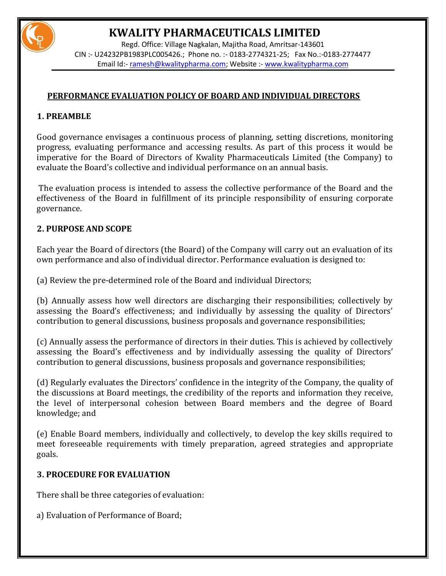

Regd. Office: Village Nagkalan, Majitha Road, Amritsar-143601 CIN :- U24232PB1983PLC005426.; Phone no. :- 0183-2774321-25; Fax No.:-0183-2774477 Email Id:- [ramesh@kwalitypharma.com;](mailto:ramesh@kwalitypharma.com) Website :- [www.kwalitypharma.com](http://www.kwalitypharma.com/)

### **PERFORMANCE EVALUATION POLICY OF BOARD AND INDIVIDUAL DIRECTORS**

### **1. PREAMBLE**

 Good governance envisages a continuous process of planning, setting discretions, monitoring progress, evaluating performance and accessing results. As part of this process it would be imperative for the Board of Directors of Kwality Pharmaceuticals Limited (the Company) to evaluate the Board's collective and individual performance on an annual basis.

 The evaluation process is intended to assess the collective performance of the Board and the effectiveness of the Board in fulfillment of its principle responsibility of ensuring corporate governance.

### **2. PURPOSE AND SCOPE**

Each year the Board of directors (the Board) of the Company will carry out an evaluation of its own performance and also of individual director. Performance evaluation is designed to:

(a) Review the pre-determined role of the Board and individual Directors;

(b) Annually assess how well directors are discharging their responsibilities; collectively by assessing the Board's effectiveness; and individually by assessing the quality of Directors' contribution to general discussions, business proposals and governance responsibilities;

(c) Annually assess the performance of directors in their duties. This is achieved by collectively assessing the Board's effectiveness and by individually assessing the quality of Directors' contribution to general discussions, business proposals and governance responsibilities;

(d) Regularly evaluates the Directors' confidence in the integrity of the Company, the quality of the discussions at Board meetings, the credibility of the reports and information they receive, the level of interpersonal cohesion between Board members and the degree of Board knowledge; and

(e) Enable Board members, individually and collectively, to develop the key skills required to meet foreseeable requirements with timely preparation, agreed strategies and appropriate goals.

### **3. PROCEDURE FOR EVALUATION**

There shall be three categories of evaluation:

a) Evaluation of Performance of Board;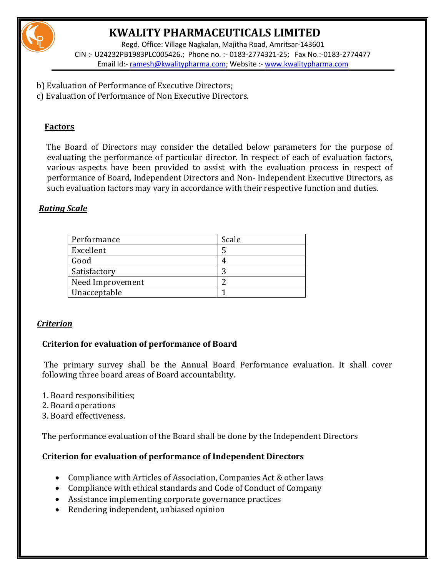

Regd. Office: Village Nagkalan, Majitha Road, Amritsar-143601 CIN :- U24232PB1983PLC005426.; Phone no. :- 0183-2774321-25; Fax No.:-0183-2774477 Email Id:- [ramesh@kwalitypharma.com;](mailto:ramesh@kwalitypharma.com) Website :- [www.kwalitypharma.com](http://www.kwalitypharma.com/)

- b) Evaluation of Performance of Executive Directors;
- c) Evaluation of Performance of Non Executive Directors.

### **Factors**

 The Board of Directors may consider the detailed below parameters for the purpose of evaluating the performance of particular director. In respect of each of evaluation factors, various aspects have been provided to assist with the evaluation process in respect of performance of Board, Independent Directors and Non- Independent Executive Directors, as such evaluation factors may vary in accordance with their respective function and duties.

### *Rating Scale*

| Performance      | Scale |
|------------------|-------|
| Excellent        |       |
| Good             |       |
| Satisfactory     | ◠     |
| Need Improvement |       |
| Unacceptable     |       |

### *Criterion*

### **Criterion for evaluation of performance of Board**

The primary survey shall be the Annual Board Performance evaluation. It shall cover following three board areas of Board accountability.

- 1. Board responsibilities;
- 2. Board operations
- 3. Board effectiveness.

The performance evaluation of the Board shall be done by the Independent Directors

### **Criterion for evaluation of performance of Independent Directors**

- Compliance with Articles of Association, Companies Act & other laws
- Compliance with ethical standards and Code of Conduct of Company
- Assistance implementing corporate governance practices
- Rendering independent, unbiased opinion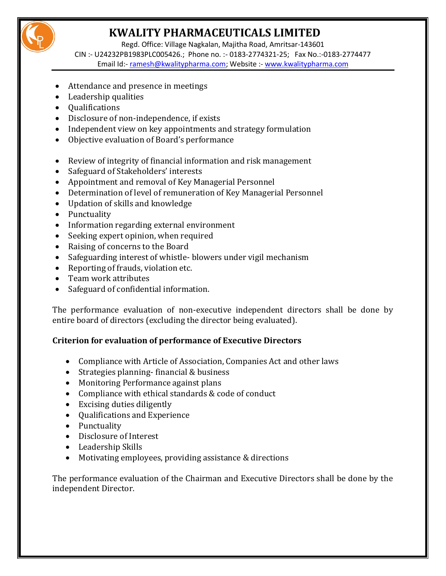

Regd. Office: Village Nagkalan, Majitha Road, Amritsar-143601

CIN :- U24232PB1983PLC005426.; Phone no. :- 0183-2774321-25; Fax No.:-0183-2774477 Email Id:- [ramesh@kwalitypharma.com;](mailto:ramesh@kwalitypharma.com) Website :- [www.kwalitypharma.com](http://www.kwalitypharma.com/)

- Attendance and presence in meetings
- Leadership qualities
- Qualifications
- Disclosure of non-independence, if exists
- Independent view on key appointments and strategy formulation
- Objective evaluation of Board's performance
- Review of integrity of financial information and risk management
- Safeguard of Stakeholders' interests
- Appointment and removal of Key Managerial Personnel
- Determination of level of remuneration of Key Managerial Personnel
- Updation of skills and knowledge
- Punctuality
- Information regarding external environment
- Seeking expert opinion, when required
- Raising of concerns to the Board
- Safeguarding interest of whistle-blowers under vigil mechanism
- Reporting of frauds, violation etc.
- Team work attributes
- Safeguard of confidential information.

The performance evaluation of non-executive independent directors shall be done by entire board of directors (excluding the director being evaluated).

### **Criterion for evaluation of performance of Executive Directors**

- Compliance with Article of Association, Companies Act and other laws
- Strategies planning- financial & business
- Monitoring Performance against plans
- Compliance with ethical standards & code of conduct
- Excising duties diligently
- Qualifications and Experience
- Punctuality
- Disclosure of Interest
- Leadership Skills
- Motivating employees, providing assistance & directions

The performance evaluation of the Chairman and Executive Directors shall be done by the independent Director.